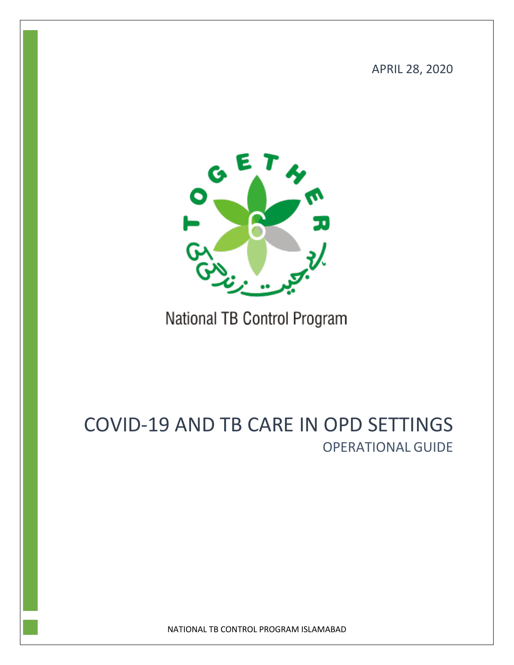APRIL 28, 2020



# National TB Control Program

# COVID-19 AND TB CARE IN OPD SETTINGS OPERATIONAL GUIDE

NATIONAL TB CONTROL PROGRAM ISLAMABAD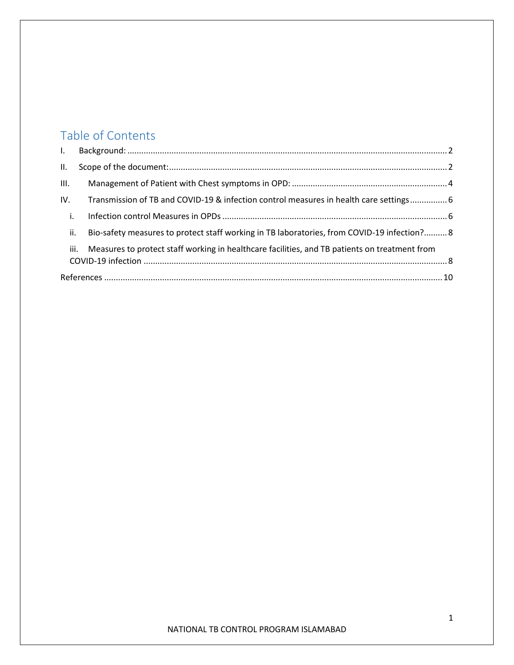## Table of Contents

| $L$ .                                                                                                 |                                                                                             |  |
|-------------------------------------------------------------------------------------------------------|---------------------------------------------------------------------------------------------|--|
| II.                                                                                                   |                                                                                             |  |
| III.                                                                                                  |                                                                                             |  |
| IV.                                                                                                   | Transmission of TB and COVID-19 & infection control measures in health care settings 6      |  |
| i.                                                                                                    |                                                                                             |  |
| ii.                                                                                                   | Bio-safety measures to protect staff working in TB laboratories, from COVID-19 infection? 8 |  |
| Measures to protect staff working in healthcare facilities, and TB patients on treatment from<br>iii. |                                                                                             |  |
|                                                                                                       |                                                                                             |  |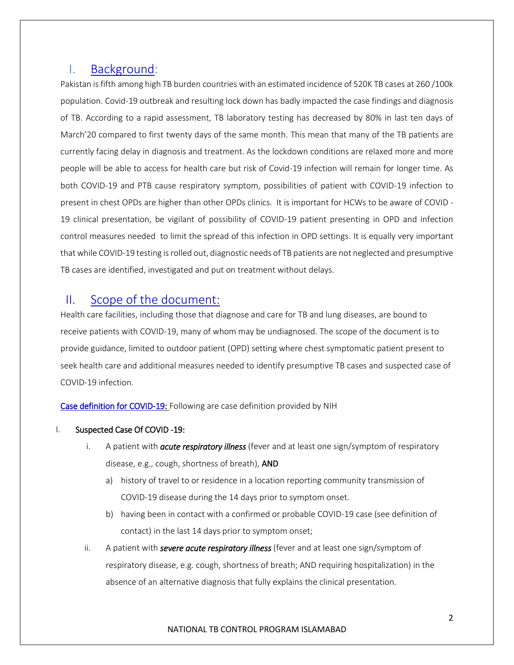## <span id="page-2-0"></span>I. Background:

Pakistan is fifth among high TB burden countries with an estimated incidence of 520K TB cases at 260 /100k population. Covid-19 outbreak and resulting lock down has badly impacted the case findings and diagnosis of TB. According to a rapid assessment, TB laboratory testing has decreased by 80% in last ten days of March'20 compared to first twenty days of the same month. This mean that many of the TB patients are currently facing delay in diagnosis and treatment. As the lockdown conditions are relaxed more and more people will be able to access for health care but risk of Covid-19 infection will remain for longer time. As both COVID-19 and PTB cause respiratory symptom, possibilities of patient with COVID-19 infection to present in chest OPDs are higher than other OPDs clinics. It is important for HCWs to be aware of COVID - 19 clinical presentation, be vigilant of possibility of COVID-19 patient presenting in OPD and infection control measures needed to limit the spread of this infection in OPD settings. It is equally very important that while COVID-19 testing is rolled out, diagnostic needs of TB patients are not neglected and presumptive TB cases are identified, investigated and put on treatment without delays.

### <span id="page-2-1"></span>II. Scope of the document:

Health care facilities, including those that diagnose and care for TB and lung diseases, are bound to receive patients with COVID-19, many of whom may be undiagnosed. The scope of the document is to provide guidance, limited to outdoor patient (OPD) setting where chest symptomatic patient present to seek health care and additional measures needed to identify presumptive TB cases and suspected case of COVID-19 infection.

Case definition for COVID-19: Following are case definition provided by NIH

#### I. Suspected Case Of COVID -19:

- i. A patient with *acute respiratory illness* (fever and at least one sign/symptom of respiratory disease, e.g., cough, shortness of breath), AND
	- a) history of travel to or residence in a location reporting community transmission of COVID-19 disease during the 14 days prior to symptom onset.
	- b) having been in contact with a confirmed or probable COVID-19 case (see definition of contact) in the last 14 days prior to symptom onset;
- ii. A patient with *severe acute respiratory illness* (fever and at least one sign/symptom of respiratory disease, e.g. cough, shortness of breath; AND requiring hospitalization) in the absence of an alternative diagnosis that fully explains the clinical presentation.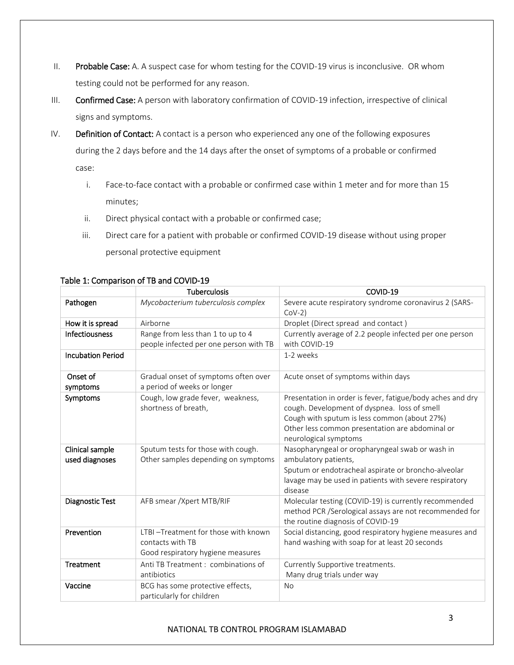- II. Probable Case: A. A suspect case for whom testing for the COVID-19 virus is inconclusive. OR whom testing could not be performed for any reason.
- III. Confirmed Case: A person with laboratory confirmation of COVID-19 infection, irrespective of clinical signs and symptoms.
- IV. Definition of Contact: A contact is a person who experienced any one of the following exposures during the 2 days before and the 14 days after the onset of symptoms of a probable or confirmed case:
	- i. Face-to-face contact with a probable or confirmed case within 1 meter and for more than 15 minutes;
	- ii. Direct physical contact with a probable or confirmed case;
	- iii. Direct care for a patient with probable or confirmed COVID-19 disease without using proper personal protective equipment

|                          | <b>Tuberculosis</b>                    | COVID-19                                                                                                      |  |
|--------------------------|----------------------------------------|---------------------------------------------------------------------------------------------------------------|--|
| Pathogen                 | Mycobacterium tuberculosis complex     | Severe acute respiratory syndrome coronavirus 2 (SARS-<br>$COV-2)$                                            |  |
| How it is spread         | Airborne                               | Droplet (Direct spread and contact)                                                                           |  |
| Infectiousness           | Range from less than 1 to up to 4      | Currently average of 2.2 people infected per one person                                                       |  |
|                          | people infected per one person with TB | with COVID-19                                                                                                 |  |
| <b>Incubation Period</b> |                                        | 1-2 weeks                                                                                                     |  |
| Onset of                 | Gradual onset of symptoms often over   | Acute onset of symptoms within days                                                                           |  |
| symptoms                 | a period of weeks or longer            |                                                                                                               |  |
| Symptoms                 | Cough, low grade fever, weakness,      | Presentation in order is fever, fatigue/body aches and dry                                                    |  |
|                          | shortness of breath,                   | cough. Development of dyspnea. loss of smell                                                                  |  |
|                          |                                        | Cough with sputum is less common (about 27%)                                                                  |  |
|                          |                                        | Other less common presentation are abdominal or                                                               |  |
|                          |                                        | neurological symptoms                                                                                         |  |
| Clinical sample          | Sputum tests for those with cough.     | Nasopharyngeal or oropharyngeal swab or wash in                                                               |  |
| used diagnoses           | Other samples depending on symptoms    | ambulatory patients,                                                                                          |  |
|                          |                                        | Sputum or endotracheal aspirate or broncho-alveolar<br>lavage may be used in patients with severe respiratory |  |
|                          |                                        | disease                                                                                                       |  |
| <b>Diagnostic Test</b>   | AFB smear / Xpert MTB/RIF              | Molecular testing (COVID-19) is currently recommended                                                         |  |
|                          |                                        | method PCR /Serological assays are not recommended for                                                        |  |
|                          |                                        | the routine diagnosis of COVID-19                                                                             |  |
| Prevention               | LTBI-Treatment for those with known    | Social distancing, good respiratory hygiene measures and                                                      |  |
|                          | contacts with TB                       | hand washing with soap for at least 20 seconds                                                                |  |
|                          | Good respiratory hygiene measures      |                                                                                                               |  |
| Treatment                | Anti TB Treatment : combinations of    | Currently Supportive treatments.                                                                              |  |
|                          | antibiotics                            | Many drug trials under way                                                                                    |  |
| Vaccine                  | BCG has some protective effects,       | <b>No</b>                                                                                                     |  |
|                          | particularly for children              |                                                                                                               |  |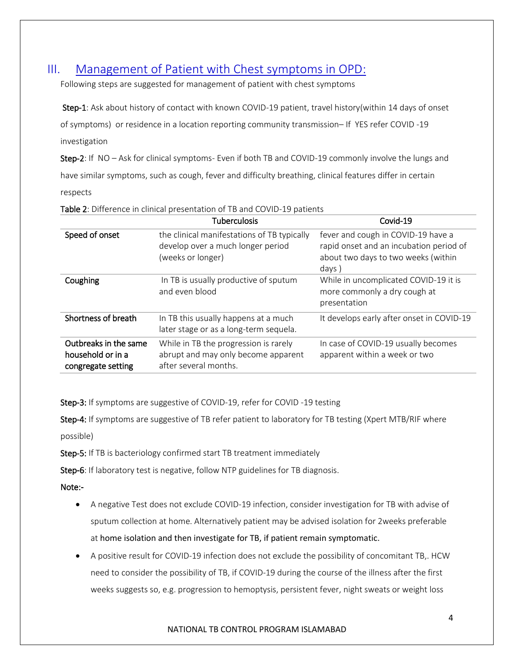## <span id="page-4-0"></span>III. Management of Patient with Chest symptoms in OPD:

Following steps are suggested for management of patient with chest symptoms

Step-1: Ask about history of contact with known COVID-19 patient, travel history(within 14 days of onset of symptoms) or residence in a location reporting community transmission– If YES refer COVID -19 investigation

Step-2: If NO – Ask for clinical symptoms- Even if both TB and COVID-19 commonly involve the lungs and have similar symptoms, such as cough, fever and difficulty breathing, clinical features differ in certain respects

|                                                                  | <b>Tuberculosis</b>                                                                                   | Covid-19                                                                                                                      |
|------------------------------------------------------------------|-------------------------------------------------------------------------------------------------------|-------------------------------------------------------------------------------------------------------------------------------|
| Speed of onset                                                   | the clinical manifestations of TB typically<br>develop over a much longer period<br>(weeks or longer) | fever and cough in COVID-19 have a<br>rapid onset and an incubation period of<br>about two days to two weeks (within<br>days) |
| Coughing                                                         | In TB is usually productive of sputum<br>and even blood                                               | While in uncomplicated COVID-19 it is<br>more commonly a dry cough at<br>presentation                                         |
| Shortness of breath                                              | In TB this usually happens at a much<br>later stage or as a long-term sequela.                        | It develops early after onset in COVID-19                                                                                     |
| Outbreaks in the same<br>household or in a<br>congregate setting | While in TB the progression is rarely<br>abrupt and may only become apparent<br>after several months. | In case of COVID-19 usually becomes<br>apparent within a week or two                                                          |

Table 2: Difference in clinical presentation of TB and COVID-19 patients

Step-3: If symptoms are suggestive of COVID-19, refer for COVID -19 testing

Step-4: If symptoms are suggestive of TB refer patient to laboratory for TB testing (Xpert MTB/RIF where possible)

Step-5: If TB is bacteriology confirmed start TB treatment immediately

Step-6: If laboratory test is negative, follow NTP guidelines for TB diagnosis.

Note:-

- A negative Test does not exclude COVID-19 infection, consider investigation for TB with advise of sputum collection at home. Alternatively patient may be advised isolation for 2weeks preferable at home isolation and then investigate for TB, if patient remain symptomatic.
- A positive result for COVID-19 infection does not exclude the possibility of concomitant TB,. HCW need to consider the possibility of TB, if COVID-19 during the course of the illness after the first weeks suggests so, e.g. progression to hemoptysis, persistent fever, night sweats or weight loss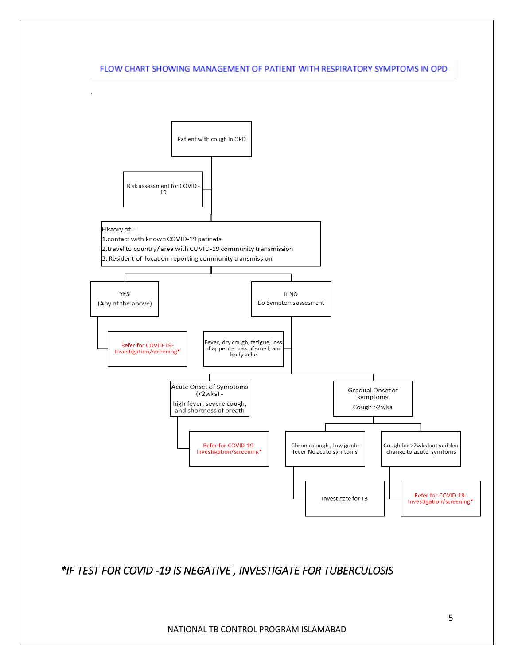#### FLOW CHART SHOWING MANAGEMENT OF PATIENT WITH RESPIRATORY SYMPTOMS IN OPD



## *\*IF TEST FOR COVID -19 IS NEGATIVE , INVESTIGATE FOR TUBERCULOSIS*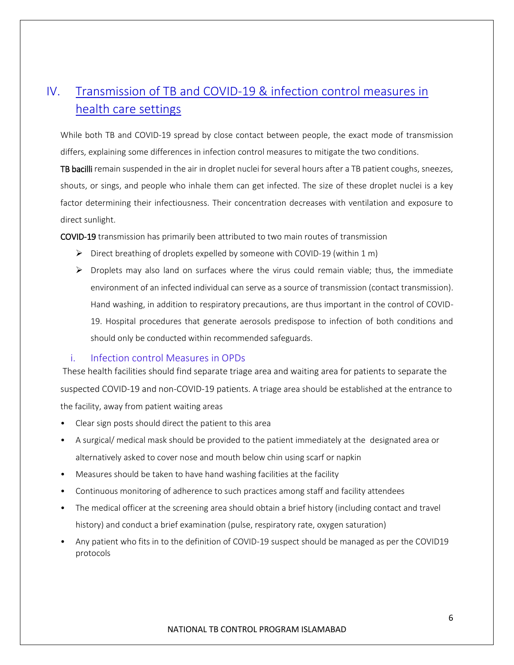# <span id="page-6-0"></span>IV. Transmission of TB and COVID-19 & infection control measures in health care settings

While both TB and COVID-19 spread by close contact between people, the exact mode of transmission differs, explaining some differences in infection control measures to mitigate the two conditions.

TB bacilli remain suspended in the air in droplet nuclei for several hours after a TB patient coughs, sneezes, shouts, or sings, and people who inhale them can get infected. The size of these droplet nuclei is a key factor determining their infectiousness. Their concentration decreases with ventilation and exposure to direct sunlight.

COVID-19 transmission has primarily been attributed to two main routes of transmission

- $\triangleright$  Direct breathing of droplets expelled by someone with COVID-19 (within 1 m)
- $\triangleright$  Droplets may also land on surfaces where the virus could remain viable; thus, the immediate environment of an infected individual can serve as a source of transmission (contact transmission). Hand washing, in addition to respiratory precautions, are thus important in the control of COVID-19. Hospital procedures that generate aerosols predispose to infection of both conditions and should only be conducted within recommended safeguards.

#### <span id="page-6-1"></span>i. Infection control Measures in OPDs

These health facilities should find separate triage area and waiting area for patients to separate the suspected COVID-19 and non-COVID-19 patients. A triage area should be established at the entrance to the facility, away from patient waiting areas

- Clear sign posts should direct the patient to this area
- A surgical/ medical mask should be provided to the patient immediately at the designated area or alternatively asked to cover nose and mouth below chin using scarf or napkin
- Measures should be taken to have hand washing facilities at the facility
- Continuous monitoring of adherence to such practices among staff and facility attendees
- The medical officer at the screening area should obtain a brief history (including contact and travel history) and conduct a brief examination (pulse, respiratory rate, oxygen saturation)
- Any patient who fits in to the definition of COVID-19 suspect should be managed as per the COVID19 protocols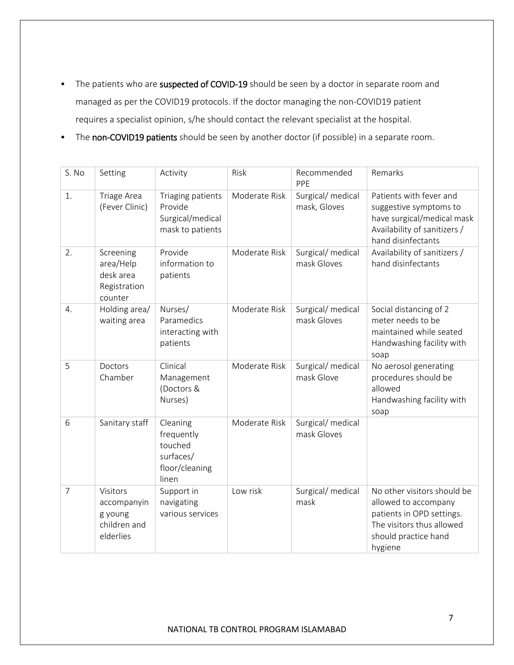- The patients who are suspected of COVID-19 should be seen by a doctor in separate room and managed as per the COVID19 protocols. If the doctor managing the non-COVID19 patient requires a specialist opinion, s/he should contact the relevant specialist at the hospital.
- The non-COVID19 patients should be seen by another doctor (if possible) in a separate room.

| S. No          | Setting                                                         | Activity                                                                  | Risk          | Recommended<br>PPE                | Remarks                                                                                                                                          |
|----------------|-----------------------------------------------------------------|---------------------------------------------------------------------------|---------------|-----------------------------------|--------------------------------------------------------------------------------------------------------------------------------------------------|
| 1.             | Triage Area<br>(Fever Clinic)                                   | Triaging patients<br>Provide<br>Surgical/medical<br>mask to patients      | Moderate Risk | Surgical/ medical<br>mask, Gloves | Patients with fever and<br>suggestive symptoms to<br>have surgical/medical mask<br>Availability of sanitizers /<br>hand disinfectants            |
| 2.             | Screening<br>area/Help<br>desk area<br>Registration<br>counter  | Provide<br>information to<br>patients                                     | Moderate Risk | Surgical/ medical<br>mask Gloves  | Availability of sanitizers /<br>hand disinfectants                                                                                               |
| 4.             | Holding area/<br>waiting area                                   | Nurses/<br>Paramedics<br>interacting with<br>patients                     | Moderate Risk | Surgical/ medical<br>mask Gloves  | Social distancing of 2<br>meter needs to be<br>maintained while seated<br>Handwashing facility with<br>soap                                      |
| 5              | Doctors<br>Chamber                                              | Clinical<br>Management<br>(Doctors &<br>Nurses)                           | Moderate Risk | Surgical/ medical<br>mask Glove   | No aerosol generating<br>procedures should be<br>allowed<br>Handwashing facility with<br>soap                                                    |
| 6              | Sanitary staff                                                  | Cleaning<br>frequently<br>touched<br>surfaces/<br>floor/cleaning<br>linen | Moderate Risk | Surgical/ medical<br>mask Gloves  |                                                                                                                                                  |
| $\overline{7}$ | Visitors<br>accompanyin<br>g young<br>children and<br>elderlies | Support in<br>navigating<br>various services                              | Low risk      | Surgical/ medical<br>mask         | No other visitors should be<br>allowed to accompany<br>patients in OPD settings.<br>The visitors thus allowed<br>should practice hand<br>hygiene |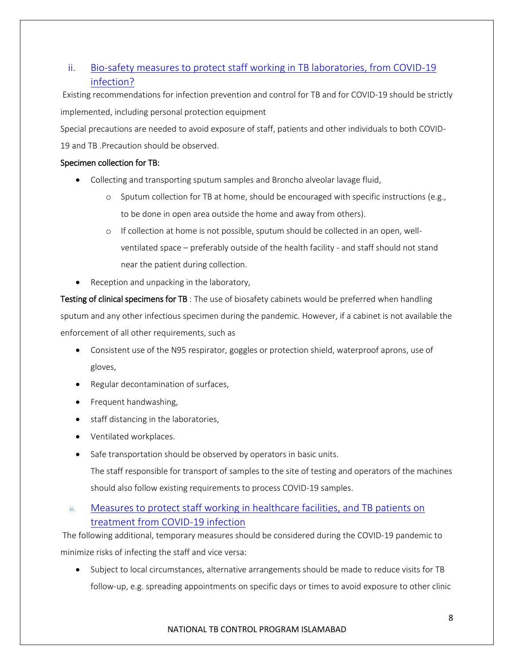## <span id="page-8-0"></span>ii. Bio-safety measures to protect staff working in TB laboratories, from COVID-19 infection?

Existing recommendations for infection prevention and control for TB and for COVID-19 should be strictly implemented, including personal protection equipment

Special precautions are needed to avoid exposure of staff, patients and other individuals to both COVID-

19 and TB .Precaution should be observed.

#### Specimen collection for TB:

- Collecting and transporting sputum samples and Broncho alveolar lavage fluid,
	- $\circ$  Sputum collection for TB at home, should be encouraged with specific instructions (e.g., to be done in open area outside the home and away from others).
	- o If collection at home is not possible, sputum should be collected in an open, wellventilated space – preferably outside of the health facility - and staff should not stand near the patient during collection.
- Reception and unpacking in the laboratory,

Testing of clinical specimens for TB : The use of biosafety cabinets would be preferred when handling sputum and any other infectious specimen during the pandemic. However, if a cabinet is not available the enforcement of all other requirements, such as

- Consistent use of the N95 respirator, goggles or protection shield, waterproof aprons, use of gloves,
- Regular decontamination of surfaces,
- Frequent handwashing,
- staff distancing in the laboratories,
- Ventilated workplaces.
- Safe transportation should be observed by operators in basic units.

The staff responsible for transport of samples to the site of testing and operators of the machines should also follow existing requirements to process COVID-19 samples.

#### <span id="page-8-1"></span>iii. Measures to protect staff working in healthcare facilities, and TB patients on treatment from COVID-19 infection

The following additional, temporary measures should be considered during the COVID-19 pandemic to minimize risks of infecting the staff and vice versa:

• Subject to local circumstances, alternative arrangements should be made to reduce visits for TB follow-up, e.g. spreading appointments on specific days or times to avoid exposure to other clinic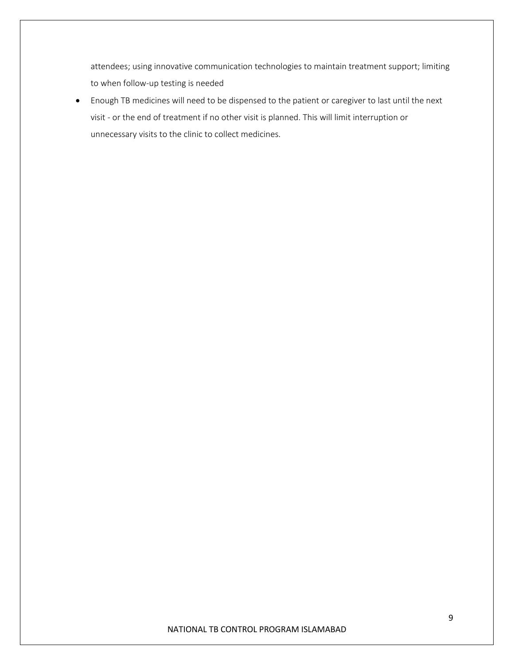attendees; using innovative communication technologies to maintain treatment support; limiting to when follow-up testing is needed

 Enough TB medicines will need to be dispensed to the patient or caregiver to last until the next visit - or the end of treatment if no other visit is planned. This will limit interruption or unnecessary visits to the clinic to collect medicines.